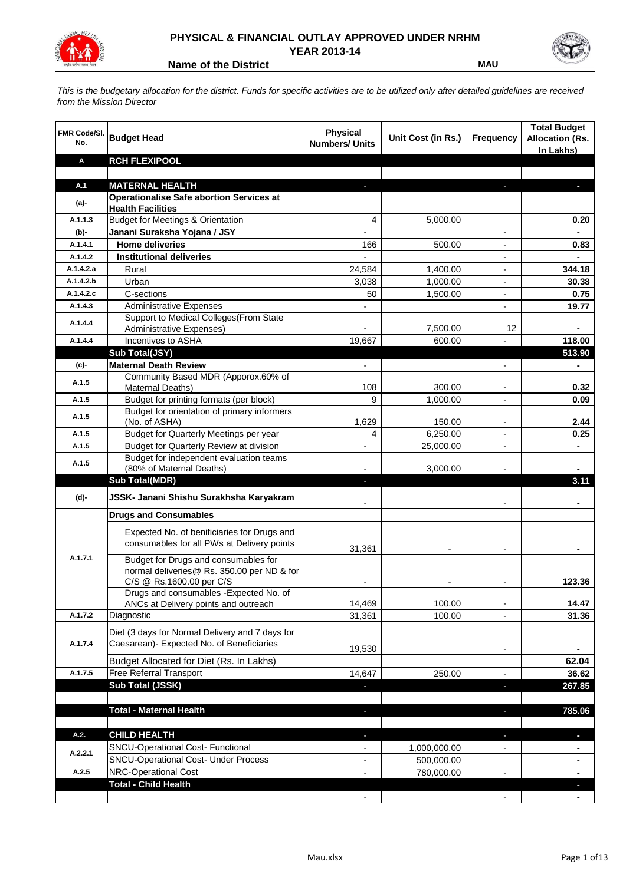

## **PHYSICAL & FINANCIAL OUTLAY APPROVED UNDER NRHM YEAR 2013-14**

**Name of the District MAU** 

*This is the budgetary allocation for the district. Funds for specific activities are to be utilized only after detailed guidelines are received from the Mission Director*

| <b>FMR Code/SI.</b><br>No. | <b>Budget Head</b>                                                                           | <b>Physical</b><br><b>Numbers/ Units</b> | Unit Cost (in Rs.) | Frequency                | <b>Total Budget</b><br><b>Allocation (Rs.</b><br>In Lakhs) |
|----------------------------|----------------------------------------------------------------------------------------------|------------------------------------------|--------------------|--------------------------|------------------------------------------------------------|
| Α                          | <b>RCH FLEXIPOOL</b>                                                                         |                                          |                    |                          |                                                            |
|                            |                                                                                              |                                          |                    |                          |                                                            |
| A.1                        | <b>MATERNAL HEALTH</b>                                                                       |                                          |                    |                          |                                                            |
| $(a)$ -                    | <b>Operationalise Safe abortion Services at</b><br><b>Health Facilities</b>                  |                                          |                    |                          |                                                            |
| A.1.1.3                    | <b>Budget for Meetings &amp; Orientation</b>                                                 | 4                                        | 5,000.00           |                          | 0.20                                                       |
| (b)-                       | Janani Suraksha Yojana / JSY                                                                 |                                          |                    |                          |                                                            |
| A.1.4.1                    | <b>Home deliveries</b>                                                                       | 166                                      | 500.00             |                          | 0.83                                                       |
| A.1.4.2                    | <b>Institutional deliveries</b>                                                              |                                          |                    |                          |                                                            |
| A.1.4.2.a                  | Rural                                                                                        | 24,584                                   | 1,400.00           |                          | 344.18                                                     |
| A.1.4.2.b                  | Urban                                                                                        | 3,038                                    | 1,000.00           | $\overline{\phantom{a}}$ | 30.38                                                      |
| A.1.4.2.c                  | C-sections                                                                                   | 50                                       | 1,500.00           | $\overline{\phantom{a}}$ | 0.75                                                       |
| A.1.4.3                    | <b>Administrative Expenses</b>                                                               |                                          |                    | $\overline{a}$           | 19.77                                                      |
| A.1.4.4                    | Support to Medical Colleges(From State                                                       |                                          |                    |                          |                                                            |
|                            | <b>Administrative Expenses)</b>                                                              |                                          | 7,500.00           | 12                       |                                                            |
| A.1.4.4                    | Incentives to ASHA                                                                           | 19,667                                   | 600.00             |                          | 118.00                                                     |
|                            | Sub Total(JSY)                                                                               |                                          |                    |                          | 513.90                                                     |
| (c)-                       | <b>Maternal Death Review</b>                                                                 | $\overline{\phantom{a}}$                 |                    | $\overline{\phantom{a}}$ |                                                            |
| A.1.5                      | Community Based MDR (Apporox.60% of<br>Maternal Deaths)                                      | 108                                      | 300.00             | $\overline{\phantom{a}}$ | 0.32                                                       |
| A.1.5                      | Budget for printing formats (per block)                                                      | 9                                        | 1,000.00           |                          | 0.09                                                       |
|                            | Budget for orientation of primary informers                                                  |                                          |                    |                          |                                                            |
| A.1.5                      | (No. of ASHA)                                                                                | 1,629                                    | 150.00             |                          | 2.44                                                       |
| A.1.5                      | Budget for Quarterly Meetings per year                                                       | 4                                        | 6,250.00           | $\overline{a}$           | 0.25                                                       |
| A.1.5                      | Budget for Quarterly Review at division                                                      |                                          | 25,000.00          |                          |                                                            |
| A.1.5                      | Budget for independent evaluation teams                                                      |                                          |                    |                          |                                                            |
|                            | (80% of Maternal Deaths)                                                                     |                                          | 3,000.00           |                          |                                                            |
|                            | <b>Sub Total(MDR)</b>                                                                        |                                          |                    |                          | 3.11                                                       |
| (d)-                       | JSSK- Janani Shishu Surakhsha Karyakram                                                      |                                          |                    |                          |                                                            |
|                            | <b>Drugs and Consumables</b>                                                                 |                                          |                    |                          |                                                            |
|                            | Expected No. of benificiaries for Drugs and                                                  |                                          |                    |                          |                                                            |
|                            | consumables for all PWs at Delivery points                                                   | 31,361                                   |                    |                          |                                                            |
| A.1.7.1                    | Budget for Drugs and consumables for<br>normal deliveries@ Rs. 350.00 per ND & for           |                                          |                    |                          |                                                            |
|                            | C/S @ Rs.1600.00 per C/S<br>Drugs and consumables - Expected No. of                          |                                          |                    |                          | 123.36                                                     |
|                            | ANCs at Delivery points and outreach                                                         | 14,469                                   | 100.00             |                          | 14.47                                                      |
| A.1.7.2                    | Diagnostic                                                                                   | 31,361                                   | 100.00             |                          | 31.36                                                      |
|                            |                                                                                              |                                          |                    |                          |                                                            |
| A.1.7.4                    | Diet (3 days for Normal Delivery and 7 days for<br>Caesarean)- Expected No. of Beneficiaries |                                          |                    |                          |                                                            |
|                            |                                                                                              | 19,530                                   |                    | $\overline{\phantom{a}}$ |                                                            |
|                            | Budget Allocated for Diet (Rs. In Lakhs)                                                     |                                          |                    |                          | 62.04                                                      |
| A.1.7.5                    | Free Referral Transport                                                                      | 14,647                                   | 250.00             | $\overline{\phantom{a}}$ | 36.62                                                      |
|                            | Sub Total (JSSK)                                                                             |                                          |                    | J,                       | 267.85                                                     |
|                            |                                                                                              |                                          |                    |                          |                                                            |
|                            | <b>Total - Maternal Health</b>                                                               |                                          |                    |                          | 785.06                                                     |
|                            |                                                                                              |                                          |                    |                          |                                                            |
| A.2.                       | <b>CHILD HEALTH</b>                                                                          |                                          |                    |                          | H.                                                         |
| A.2.2.1                    | SNCU-Operational Cost- Functional                                                            |                                          | 1,000,000.00       |                          |                                                            |
| A.2.5                      | SNCU-Operational Cost- Under Process                                                         |                                          | 500,000.00         |                          |                                                            |
|                            | NRC-Operational Cost<br><b>Total - Child Health</b>                                          |                                          | 780,000.00         |                          |                                                            |
|                            |                                                                                              |                                          |                    |                          |                                                            |
|                            |                                                                                              |                                          |                    |                          |                                                            |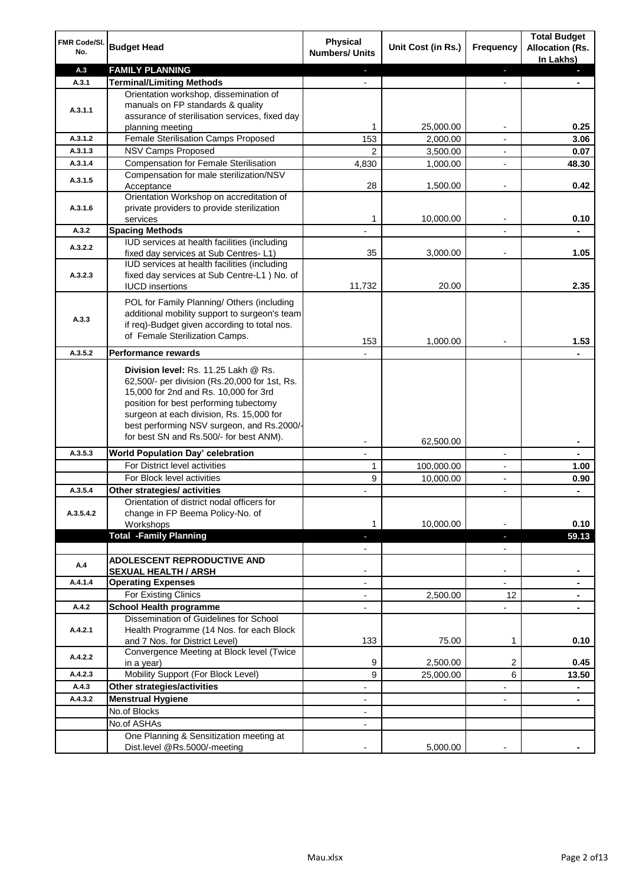| FMR Code/SI.<br>No.  | <b>Budget Head</b>                                                                                                                                                                                                                                                                                            | Physical<br><b>Numbers/ Units</b> | Unit Cost (in Rs.) | <b>Frequency</b>         | <b>Total Budget</b><br><b>Allocation (Rs.</b><br>In Lakhs) |
|----------------------|---------------------------------------------------------------------------------------------------------------------------------------------------------------------------------------------------------------------------------------------------------------------------------------------------------------|-----------------------------------|--------------------|--------------------------|------------------------------------------------------------|
| A.3                  | <b>FAMILY PLANNING</b>                                                                                                                                                                                                                                                                                        | $\sim$                            |                    | $\blacksquare$           | $\sim$                                                     |
| A.3.1                | <b>Terminal/Limiting Methods</b>                                                                                                                                                                                                                                                                              |                                   |                    |                          |                                                            |
| A.3.1.1              | Orientation workshop, dissemination of<br>manuals on FP standards & quality<br>assurance of sterilisation services, fixed day<br>planning meeting                                                                                                                                                             | 1                                 | 25,000.00          | $\overline{\phantom{a}}$ | 0.25                                                       |
| A.3.1.2              | Female Sterilisation Camps Proposed                                                                                                                                                                                                                                                                           | 153                               | 2,000.00           |                          | 3.06                                                       |
| A.3.1.3              | <b>NSV Camps Proposed</b>                                                                                                                                                                                                                                                                                     | $\overline{2}$                    | 3,500.00           |                          | 0.07                                                       |
| A.3.1.4              | <b>Compensation for Female Sterilisation</b>                                                                                                                                                                                                                                                                  | 4,830                             | 1,000.00           | $\overline{\phantom{a}}$ | 48.30                                                      |
| A.3.1.5              | Compensation for male sterilization/NSV                                                                                                                                                                                                                                                                       |                                   |                    |                          |                                                            |
|                      | Acceptance                                                                                                                                                                                                                                                                                                    | 28                                | 1,500.00           |                          | 0.42                                                       |
| A.3.1.6              | Orientation Workshop on accreditation of<br>private providers to provide sterilization<br>services                                                                                                                                                                                                            | 1                                 | 10,000.00          | $\blacksquare$           | 0.10                                                       |
| A.3.2                | <b>Spacing Methods</b>                                                                                                                                                                                                                                                                                        |                                   |                    |                          | ۰                                                          |
|                      | IUD services at health facilities (including                                                                                                                                                                                                                                                                  |                                   |                    |                          |                                                            |
| A.3.2.2              | fixed day services at Sub Centres-L1)                                                                                                                                                                                                                                                                         | 35                                | 3,000.00           | $\overline{\phantom{a}}$ | 1.05                                                       |
| A.3.2.3              | IUD services at health facilities (including<br>fixed day services at Sub Centre-L1 ) No. of<br><b>IUCD</b> insertions                                                                                                                                                                                        | 11,732                            | 20.00              |                          | 2.35                                                       |
| A.3.3                | POL for Family Planning/ Others (including<br>additional mobility support to surgeon's team<br>if req)-Budget given according to total nos.<br>of Female Sterilization Camps.                                                                                                                                 | 153                               | 1,000.00           |                          | 1.53                                                       |
| A.3.5.2              | <b>Performance rewards</b>                                                                                                                                                                                                                                                                                    |                                   |                    |                          |                                                            |
|                      | Division level: Rs. 11.25 Lakh @ Rs.<br>62,500/- per division (Rs.20,000 for 1st, Rs.<br>15,000 for 2nd and Rs. 10,000 for 3rd<br>position for best performing tubectomy<br>surgeon at each division, Rs. 15,000 for<br>best performing NSV surgeon, and Rs.2000/-<br>for best SN and Rs.500/- for best ANM). |                                   |                    |                          |                                                            |
|                      |                                                                                                                                                                                                                                                                                                               |                                   | 62,500.00          |                          | ۰                                                          |
| A.3.5.3              | World Population Day' celebration                                                                                                                                                                                                                                                                             |                                   |                    |                          |                                                            |
|                      | For District level activities                                                                                                                                                                                                                                                                                 | 1                                 | 100,000.00         |                          | 1.00                                                       |
|                      | For Block level activities                                                                                                                                                                                                                                                                                    | 9                                 | 10,000.00          | $\blacksquare$           | 0.90                                                       |
| A.3.5.4<br>A.3.5.4.2 | Other strategies/ activities<br>Orientation of district nodal officers for<br>change in FP Beema Policy-No. of<br>Workshops                                                                                                                                                                                   | 1                                 | 10,000.00          |                          | 0.10                                                       |
|                      | <b>Total -Family Planning</b>                                                                                                                                                                                                                                                                                 | $\overline{\phantom{a}}$          |                    | ٠                        | 59.13                                                      |
|                      |                                                                                                                                                                                                                                                                                                               | $\overline{\phantom{a}}$          |                    | $\overline{\phantom{a}}$ |                                                            |
| A.4                  | ADOLESCENT REPRODUCTIVE AND<br><b>SEXUAL HEALTH / ARSH</b>                                                                                                                                                                                                                                                    |                                   |                    | $\blacksquare$           |                                                            |
| A.4.1.4              | <b>Operating Expenses</b>                                                                                                                                                                                                                                                                                     |                                   |                    |                          |                                                            |
|                      | For Existing Clinics                                                                                                                                                                                                                                                                                          | $\blacksquare$                    | 2,500.00           | 12                       | ۰                                                          |
| A.4.2                | <b>School Health programme</b>                                                                                                                                                                                                                                                                                | $\blacksquare$                    |                    | $\overline{a}$           |                                                            |
| A.4.2.1              | Dissemination of Guidelines for School<br>Health Programme (14 Nos. for each Block<br>and 7 Nos. for District Level)                                                                                                                                                                                          | 133                               | 75.00              | 1                        | 0.10                                                       |
| A.4.2.2              | Convergence Meeting at Block level (Twice<br>in a year)                                                                                                                                                                                                                                                       | 9                                 | 2,500.00           | 2                        | 0.45                                                       |
| A.4.2.3              | Mobility Support (For Block Level)                                                                                                                                                                                                                                                                            | 9                                 | 25,000.00          | 6                        | 13.50                                                      |
| A.4.3                | Other strategies/activities                                                                                                                                                                                                                                                                                   | $\overline{\phantom{a}}$          |                    | -                        | ۰                                                          |
| A.4.3.2              | <b>Menstrual Hygiene</b>                                                                                                                                                                                                                                                                                      | $\overline{\phantom{a}}$          |                    | ٠                        | ۰                                                          |
|                      | No.of Blocks                                                                                                                                                                                                                                                                                                  | $\overline{\phantom{a}}$          |                    |                          |                                                            |
|                      | No.of ASHAs                                                                                                                                                                                                                                                                                                   | $\overline{\phantom{a}}$          |                    |                          |                                                            |
|                      | One Planning & Sensitization meeting at                                                                                                                                                                                                                                                                       |                                   |                    |                          |                                                            |
|                      | Dist.level @Rs.5000/-meeting                                                                                                                                                                                                                                                                                  |                                   | 5,000.00           |                          |                                                            |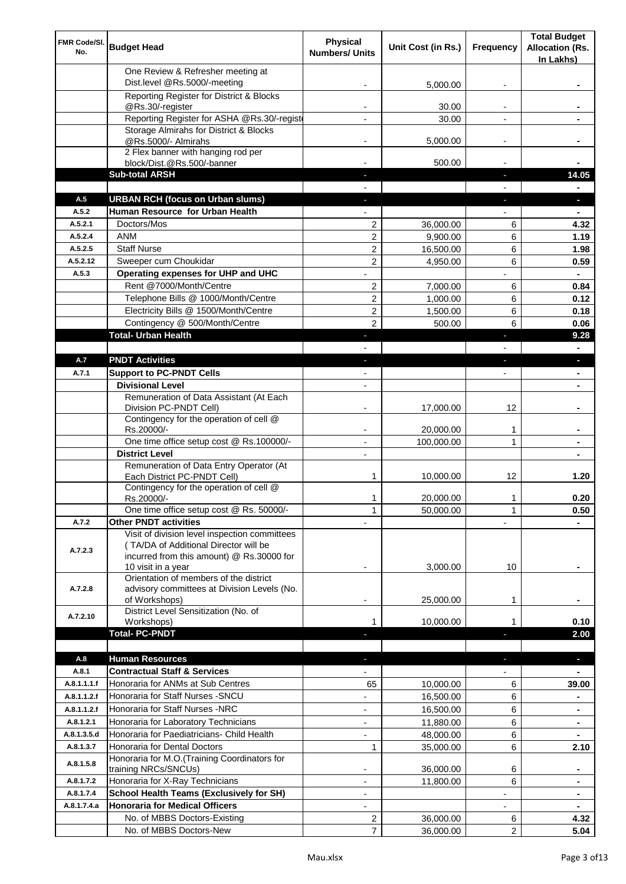| FMR Code/SI.<br>No.        | <b>Budget Head</b>                                                                                                                                        | Physical<br><b>Numbers/ Units</b> | Unit Cost (in Rs.)     | Frequency                | <b>Total Budget</b><br><b>Allocation (Rs.</b><br>In Lakhs) |
|----------------------------|-----------------------------------------------------------------------------------------------------------------------------------------------------------|-----------------------------------|------------------------|--------------------------|------------------------------------------------------------|
|                            | One Review & Refresher meeting at<br>Dist.level @Rs.5000/-meeting                                                                                         |                                   | 5,000.00               |                          |                                                            |
|                            | Reporting Register for District & Blocks                                                                                                                  |                                   |                        |                          |                                                            |
|                            | @Rs.30/-register                                                                                                                                          |                                   | 30.00                  |                          |                                                            |
|                            | Reporting Register for ASHA @Rs.30/-regist                                                                                                                |                                   | 30.00                  |                          |                                                            |
|                            | Storage Almirahs for District & Blocks<br>@Rs.5000/- Almirahs                                                                                             | $\blacksquare$                    | 5,000.00               | $\overline{\phantom{a}}$ |                                                            |
|                            | 2 Flex banner with hanging rod per                                                                                                                        |                                   |                        |                          |                                                            |
|                            | block/Dist.@Rs.500/-banner                                                                                                                                |                                   | 500.00                 |                          |                                                            |
|                            | <b>Sub-total ARSH</b>                                                                                                                                     |                                   |                        | $\sim$                   | 14.05                                                      |
| A.5                        | <b>URBAN RCH (focus on Urban slums)</b>                                                                                                                   |                                   |                        |                          |                                                            |
| A.5.2                      | Human Resource for Urban Health                                                                                                                           |                                   |                        |                          |                                                            |
| A.5.2.1                    | Doctors/Mos                                                                                                                                               | $\overline{2}$                    | 36,000.00              | 6                        | 4.32                                                       |
| A.5.2.4<br>A.5.2.5         | <b>ANM</b><br><b>Staff Nurse</b>                                                                                                                          | $\overline{c}$                    | 9,900.00<br>16,500.00  | 6<br>6                   | 1.19<br>1.98                                               |
| A.5.2.12                   | Sweeper cum Choukidar                                                                                                                                     | 2<br>2                            | 4,950.00               | 6                        | 0.59                                                       |
| A.5.3                      | Operating expenses for UHP and UHC                                                                                                                        |                                   |                        |                          | $\blacksquare$                                             |
|                            | Rent @7000/Month/Centre                                                                                                                                   | 2                                 | 7,000.00               | 6                        | 0.84                                                       |
|                            | Telephone Bills @ 1000/Month/Centre                                                                                                                       | $\overline{c}$                    | 1,000.00               | 6                        | 0.12                                                       |
|                            | Electricity Bills @ 1500/Month/Centre                                                                                                                     | $\overline{c}$                    | 1,500.00               | 6                        | 0.18                                                       |
|                            | Contingency @ 500/Month/Centre                                                                                                                            | $\overline{2}$                    | 500.00                 | 6                        | 0.06                                                       |
|                            | <b>Total- Urban Health</b>                                                                                                                                | ÷.                                |                        | ×                        | 9.28                                                       |
|                            |                                                                                                                                                           |                                   |                        |                          | $\blacksquare$                                             |
| A.7                        | <b>PNDT Activities</b>                                                                                                                                    | ٠                                 |                        | ×                        | ٠                                                          |
| A.7.1                      | <b>Support to PC-PNDT Cells</b>                                                                                                                           | $\blacksquare$                    |                        | $\blacksquare$           | ٠                                                          |
|                            | <b>Divisional Level</b><br>Remuneration of Data Assistant (At Each                                                                                        | $\blacksquare$                    |                        |                          |                                                            |
|                            | Division PC-PNDT Cell)                                                                                                                                    |                                   | 17,000.00              | 12                       |                                                            |
|                            | Contingency for the operation of cell @<br>Rs.20000/-                                                                                                     |                                   | 20,000.00              | 1                        |                                                            |
|                            | One time office setup cost @ Rs.100000/-                                                                                                                  |                                   | 100,000.00             | 1                        |                                                            |
|                            | <b>District Level</b>                                                                                                                                     | $\overline{\phantom{a}}$          |                        |                          |                                                            |
|                            | Remuneration of Data Entry Operator (At<br>Each District PC-PNDT Cell)                                                                                    | 1                                 | 10.000.00              | 12                       | 1.20                                                       |
|                            | Contingency for the operation of cell @<br>Rs.20000/-                                                                                                     | 1                                 | 20,000.00              | 1                        | 0.20                                                       |
|                            | One time office setup cost @ Rs. 50000/-                                                                                                                  | $\mathbf{1}$                      | 50,000.00              | 1                        | 0.50                                                       |
| A.7.2                      | <b>Other PNDT activities</b>                                                                                                                              |                                   |                        |                          |                                                            |
| A.7.2.3                    | Visit of division level inspection committees<br>(TA/DA of Additional Director will be<br>incurred from this amount) @ Rs.30000 for<br>10 visit in a year |                                   | 3,000.00               | 10                       |                                                            |
| A.7.2.8                    | Orientation of members of the district<br>advisory committees at Division Levels (No.<br>of Workshops)                                                    | ۰                                 | 25,000.00              | 1                        |                                                            |
| A.7.2.10                   | District Level Sensitization (No. of<br>Workshops)                                                                                                        |                                   | 10,000.00              |                          | 0.10                                                       |
|                            | <b>Total- PC-PNDT</b>                                                                                                                                     |                                   |                        |                          | 2.00                                                       |
|                            |                                                                                                                                                           |                                   |                        |                          |                                                            |
| A.8                        | <b>Human Resources</b>                                                                                                                                    |                                   |                        |                          | ÷.                                                         |
| A.8.1                      | <b>Contractual Staff &amp; Services</b>                                                                                                                   |                                   |                        |                          |                                                            |
| A.8.1.1.1.f<br>A.8.1.1.2.f | Honoraria for ANMs at Sub Centres<br>Honoraria for Staff Nurses - SNCU                                                                                    | 65                                | 10,000.00<br>16,500.00 | 6<br>6                   | 39.00                                                      |
| A.8.1.1.2.f                | Honoraria for Staff Nurses -NRC                                                                                                                           |                                   |                        |                          |                                                            |
| A.8.1.2.1                  | Honoraria for Laboratory Technicians                                                                                                                      |                                   | 16,500.00<br>11,880.00 | 6<br>6                   |                                                            |
| A.8.1.3.5.d                | Honoraria for Paediatricians- Child Health                                                                                                                |                                   | 48,000.00              | 6                        |                                                            |
| A.8.1.3.7                  | Honoraria for Dental Doctors                                                                                                                              | $\mathbf{1}$                      | 35,000.00              | 6                        | 2.10                                                       |
| A.8.1.5.8                  | Honoraria for M.O.(Training Coordinators for                                                                                                              |                                   | 36,000.00              | 6                        |                                                            |
| A.8.1.7.2                  | training NRCs/SNCUs)<br>Honoraria for X-Ray Technicians                                                                                                   |                                   | 11,800.00              | 6                        |                                                            |
| A.8.1.7.4                  | <b>School Health Teams (Exclusively for SH)</b>                                                                                                           |                                   |                        |                          | $\blacksquare$                                             |
| A.8.1.7.4.a                | <b>Honoraria for Medical Officers</b>                                                                                                                     | $\blacksquare$                    |                        |                          |                                                            |
|                            | No. of MBBS Doctors-Existing                                                                                                                              | 2                                 | 36,000.00              | 6                        | 4.32                                                       |
|                            | No. of MBBS Doctors-New                                                                                                                                   | $\overline{7}$                    | 36,000.00              | 2                        | 5.04                                                       |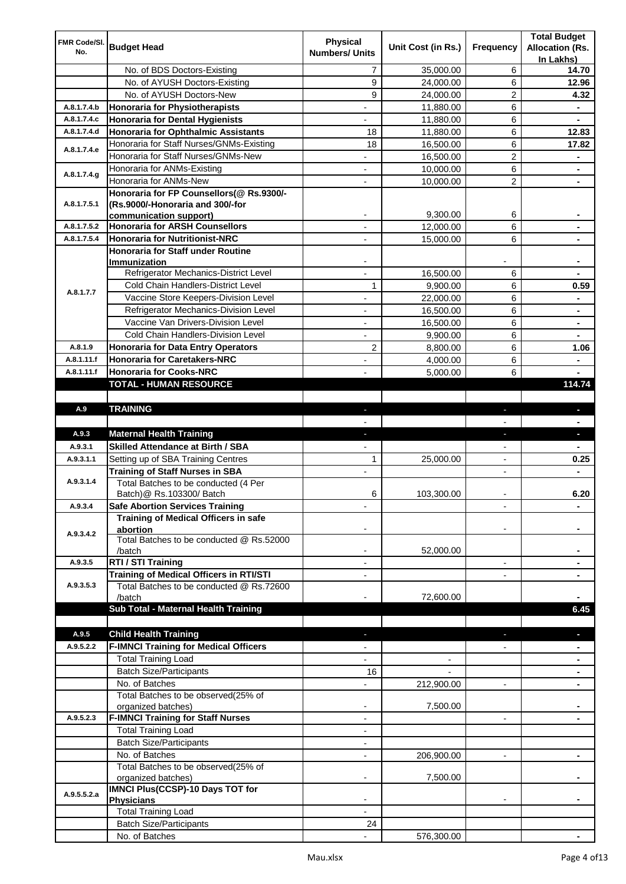| FMR Code/SI. |                                                       | <b>Physical</b>          |                    |                          | <b>Total Budget</b>    |
|--------------|-------------------------------------------------------|--------------------------|--------------------|--------------------------|------------------------|
| No.          | <b>Budget Head</b>                                    | <b>Numbers/ Units</b>    | Unit Cost (in Rs.) | Frequency                | <b>Allocation (Rs.</b> |
|              | No. of BDS Doctors-Existing                           | 7                        | 35,000.00          | 6                        | In Lakhs)<br>14.70     |
|              | No. of AYUSH Doctors-Existing                         | 9                        | 24,000.00          | 6                        | 12.96                  |
|              | No. of AYUSH Doctors-New                              | 9                        | 24,000.00          | 2                        | 4.32                   |
| A.8.1.7.4.b  | Honoraria for Physiotherapists                        | $\overline{\phantom{a}}$ | 11,880.00          | 6                        |                        |
| A.8.1.7.4.c  | <b>Honoraria for Dental Hygienists</b>                |                          | 11,880.00          | 6                        |                        |
| A.8.1.7.4.d  | Honoraria for Ophthalmic Assistants                   | 18                       | 11,880.00          | 6                        | 12.83                  |
|              | Honoraria for Staff Nurses/GNMs-Existing              | 18                       | 16,500.00          | 6                        | 17.82                  |
| A.8.1.7.4.e  | Honoraria for Staff Nurses/GNMs-New                   |                          | 16,500.00          | $\overline{\mathbf{c}}$  |                        |
|              | Honoraria for ANMs-Existing                           |                          | 10,000.00          | 6                        |                        |
| A.8.1.7.4.g  | Honoraria for ANMs-New                                |                          | 10,000.00          | 2                        |                        |
|              | Honoraria for FP Counsellors(@ Rs.9300/-              |                          |                    |                          |                        |
| A.8.1.7.5.1  | (Rs.9000/-Honoraria and 300/-for                      |                          |                    |                          |                        |
|              | communication support)                                | $\overline{\phantom{a}}$ | 9,300.00           | 6                        |                        |
| A.8.1.7.5.2  | <b>Honoraria for ARSH Counsellors</b>                 | $\overline{\phantom{a}}$ | 12,000.00          | 6                        | ۰                      |
| A.8.1.7.5.4  | <b>Honoraria for Nutritionist-NRC</b>                 |                          | 15,000.00          | 6                        |                        |
|              | <b>Honoraria for Staff under Routine</b>              |                          |                    |                          |                        |
|              | Immunization<br>Refrigerator Mechanics-District Level |                          | 16.500.00          | 6                        |                        |
|              | Cold Chain Handlers-District Level                    | 1                        | 9,900.00           | 6                        | 0.59                   |
| A.8.1.7.7    | Vaccine Store Keepers-Division Level                  |                          | 22,000.00          | 6                        |                        |
|              | Refrigerator Mechanics-Division Level                 | $\blacksquare$           | 16,500.00          | 6                        | $\blacksquare$         |
|              | Vaccine Van Drivers-Division Level                    | $\overline{\phantom{a}}$ | 16,500.00          | 6                        | ۰                      |
|              | Cold Chain Handlers-Division Level                    | $\blacksquare$           | 9,900.00           | 6                        | ۰                      |
| A.8.1.9      | <b>Honoraria for Data Entry Operators</b>             | $\overline{2}$           | 8,800.00           | 6                        | 1.06                   |
| A.8.1.11.f   | <b>Honoraria for Caretakers-NRC</b>                   | $\blacksquare$           | 4,000.00           | 6                        | ä,                     |
| A.8.1.11.f   | <b>Honoraria for Cooks-NRC</b>                        |                          | 5,000.00           | 6                        |                        |
|              | <b>TOTAL - HUMAN RESOURCE</b>                         |                          |                    |                          | 114.74                 |
|              |                                                       |                          |                    |                          |                        |
| A.9          | <b>TRAINING</b>                                       | ٠                        |                    | ٠                        | ٠                      |
|              |                                                       |                          |                    |                          |                        |
| A.9.3        | <b>Maternal Health Training</b>                       | ٠                        |                    | ٠                        | ٠                      |
| A.9.3.1      | <b>Skilled Attendance at Birth / SBA</b>              |                          |                    |                          |                        |
| A.9.3.1.1    | Setting up of SBA Training Centres                    | 1                        | 25,000.00          | $\overline{\phantom{0}}$ | 0.25                   |
|              | <b>Training of Staff Nurses in SBA</b>                | $\blacksquare$           |                    |                          |                        |
| A.9.3.1.4    | Total Batches to be conducted (4 Per                  |                          |                    |                          |                        |
|              | Batch) @ Rs.103300/ Batch                             | 6                        | 103,300.00         |                          | 6.20                   |
| A.9.3.4      | <b>Safe Abortion Services Training</b>                |                          |                    |                          |                        |
|              | Training of Medical Officers in safe<br>abortion      |                          |                    |                          |                        |
| A.9.3.4.2    | Total Batches to be conducted @ Rs.52000              |                          |                    |                          |                        |
|              | /batch                                                |                          | 52,000.00          |                          |                        |
| A.9.3.5      | RTI / STI Training                                    |                          |                    | $\overline{a}$           |                        |
|              | <b>Training of Medical Officers in RTI/STI</b>        |                          |                    |                          |                        |
| A.9.3.5.3    | Total Batches to be conducted @ Rs.72600              |                          |                    |                          |                        |
|              | /batch                                                |                          | 72,600.00          |                          |                        |
|              | Sub Total - Maternal Health Training                  |                          |                    |                          | 6.45                   |
|              |                                                       |                          |                    |                          |                        |
| A.9.5        | <b>Child Health Training</b>                          |                          |                    |                          |                        |
| A.9.5.2.2    | <b>F-IMNCI Training for Medical Officers</b>          |                          |                    |                          |                        |
|              | <b>Total Training Load</b>                            |                          |                    |                          |                        |
|              | <b>Batch Size/Participants</b>                        | 16                       |                    |                          |                        |
|              | No. of Batches<br>Total Batches to be observed(25% of |                          | 212,900.00         |                          |                        |
|              | organized batches)                                    | $\blacksquare$           | 7,500.00           |                          |                        |
| A.9.5.2.3    | <b>F-IMNCI Training for Staff Nurses</b>              | $\overline{\phantom{a}}$ |                    | $\overline{\phantom{a}}$ | $\blacksquare$         |
|              | <b>Total Training Load</b>                            | $\overline{\phantom{a}}$ |                    |                          |                        |
|              | <b>Batch Size/Participants</b>                        | $\overline{\phantom{a}}$ |                    |                          |                        |
|              | No. of Batches                                        | $\overline{\phantom{a}}$ | 206,900.00         |                          |                        |
|              | Total Batches to be observed(25% of                   |                          |                    |                          |                        |
|              | organized batches)                                    |                          | 7,500.00           |                          |                        |
| A.9.5.5.2.a  | <b>IMNCI Plus(CCSP)-10 Days TOT for</b>               |                          |                    |                          |                        |
|              | <b>Physicians</b>                                     |                          |                    |                          |                        |
|              | <b>Total Training Load</b>                            |                          |                    |                          |                        |
|              | <b>Batch Size/Participants</b>                        | 24                       |                    |                          |                        |
|              | No. of Batches                                        |                          | 576,300.00         |                          |                        |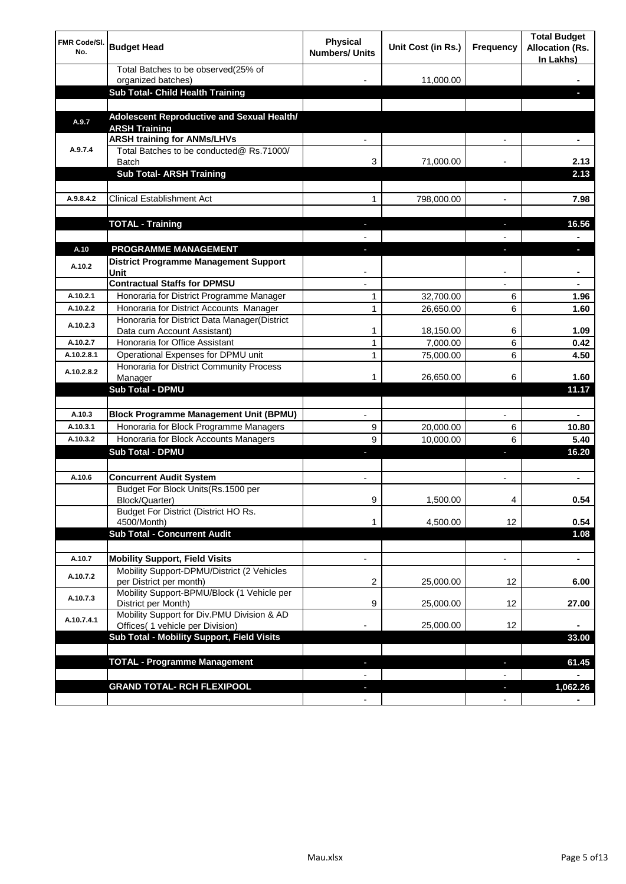| FMR Code/SI.<br>No. | <b>Budget Head</b>                                                                                             | Physical<br><b>Numbers/ Units</b> | Unit Cost (in Rs.) | <b>Frequency</b>               | <b>Total Budget</b><br><b>Allocation (Rs.</b><br>In Lakhs) |
|---------------------|----------------------------------------------------------------------------------------------------------------|-----------------------------------|--------------------|--------------------------------|------------------------------------------------------------|
|                     | Total Batches to be observed(25% of<br>organized batches)                                                      |                                   | 11,000.00          |                                |                                                            |
|                     | Sub Total- Child Health Training                                                                               |                                   |                    |                                |                                                            |
| A.9.7               | Adolescent Reproductive and Sexual Health/<br><b>ARSH Training</b>                                             |                                   |                    |                                |                                                            |
|                     | <b>ARSH training for ANMs/LHVs</b>                                                                             |                                   |                    |                                |                                                            |
| A.9.7.4             | Total Batches to be conducted@ Rs.71000/<br>Batch                                                              | 3                                 | 71,000.00          |                                | 2.13                                                       |
|                     | <b>Sub Total- ARSH Training</b>                                                                                |                                   |                    |                                | 2.13                                                       |
| A.9.8.4.2           | <b>Clinical Establishment Act</b>                                                                              | 1                                 | 798,000.00         |                                | 7.98                                                       |
|                     | <b>TOTAL - Training</b>                                                                                        |                                   |                    |                                | 16.56                                                      |
| A.10                | <b>PROGRAMME MANAGEMENT</b>                                                                                    |                                   |                    |                                |                                                            |
| A.10.2              | <b>District Programme Management Support</b><br>Unit                                                           |                                   |                    |                                |                                                            |
|                     | <b>Contractual Staffs for DPMSU</b>                                                                            |                                   |                    |                                |                                                            |
| A.10.2.1            | Honoraria for District Programme Manager                                                                       | 1                                 | 32,700.00          | 6                              | 1.96                                                       |
| A.10.2.2            | Honoraria for District Accounts Manager<br>Honoraria for District Data Manager(District                        | $\mathbf{1}$                      | 26,650.00          | 6                              | 1.60                                                       |
| A.10.2.3            | Data cum Account Assistant)                                                                                    | 1                                 | 18,150.00          | 6                              | 1.09                                                       |
| A.10.2.7            | Honoraria for Office Assistant                                                                                 | 1                                 | 7,000.00           | 6                              | 0.42                                                       |
| A.10.2.8.1          | Operational Expenses for DPMU unit                                                                             | $\mathbf{1}$                      | 75,000.00          | 6                              | 4.50                                                       |
| A.10.2.8.2          | Honoraria for District Community Process<br>Manager                                                            | 1                                 | 26,650.00          | 6                              | 1.60                                                       |
|                     | <b>Sub Total - DPMU</b>                                                                                        |                                   |                    |                                | 11.17                                                      |
| A.10.3              | <b>Block Programme Management Unit (BPMU)</b>                                                                  |                                   |                    | $\overline{\phantom{a}}$       |                                                            |
| A.10.3.1            | Honoraria for Block Programme Managers                                                                         | 9                                 | 20,000.00          | 6                              | 10.80                                                      |
| A.10.3.2            | Honoraria for Block Accounts Managers                                                                          | 9                                 | 10,000.00          | 6                              | 5.40                                                       |
|                     | <b>Sub Total - DPMU</b>                                                                                        |                                   |                    | J,                             | 16.20                                                      |
| A.10.6              | <b>Concurrent Audit System</b>                                                                                 |                                   |                    |                                |                                                            |
|                     | Budget For Block Units(Rs.1500 per<br>Block/Quarter)                                                           | 9                                 | 1,500.00           |                                | 0.54                                                       |
|                     | Budget For District (District HO Rs.<br>4500/Month)                                                            | 1                                 | 4,500.00           | 12                             | 0.54                                                       |
|                     | <b>Sub Total - Concurrent Audit</b>                                                                            |                                   |                    |                                | 1.08                                                       |
|                     |                                                                                                                |                                   |                    |                                | ٠                                                          |
| A.10.7<br>A.10.7.2  | <b>Mobility Support, Field Visits</b><br>Mobility Support-DPMU/District (2 Vehicles<br>per District per month) | 2                                 | 25,000.00          | 12                             | 6.00                                                       |
| A.10.7.3            | Mobility Support-BPMU/Block (1 Vehicle per                                                                     |                                   |                    |                                |                                                            |
| A.10.7.4.1          | District per Month)<br>Mobility Support for Div.PMU Division & AD                                              | 9                                 | 25,000.00          | 12                             | 27.00                                                      |
|                     | Offices( 1 vehicle per Division)<br>Sub Total - Mobility Support, Field Visits                                 |                                   | 25,000.00          | 12                             | 33.00                                                      |
|                     |                                                                                                                |                                   |                    |                                |                                                            |
|                     | <b>TOTAL - Programme Management</b>                                                                            |                                   |                    | ٠                              | 61.45                                                      |
|                     |                                                                                                                |                                   |                    | $\overline{\phantom{a}}$       |                                                            |
|                     | <b>GRAND TOTAL- RCH FLEXIPOOL</b>                                                                              | $\sim$<br>$\blacksquare$          |                    | J,<br>$\overline{\phantom{a}}$ | 1,062.26                                                   |
|                     |                                                                                                                |                                   |                    |                                |                                                            |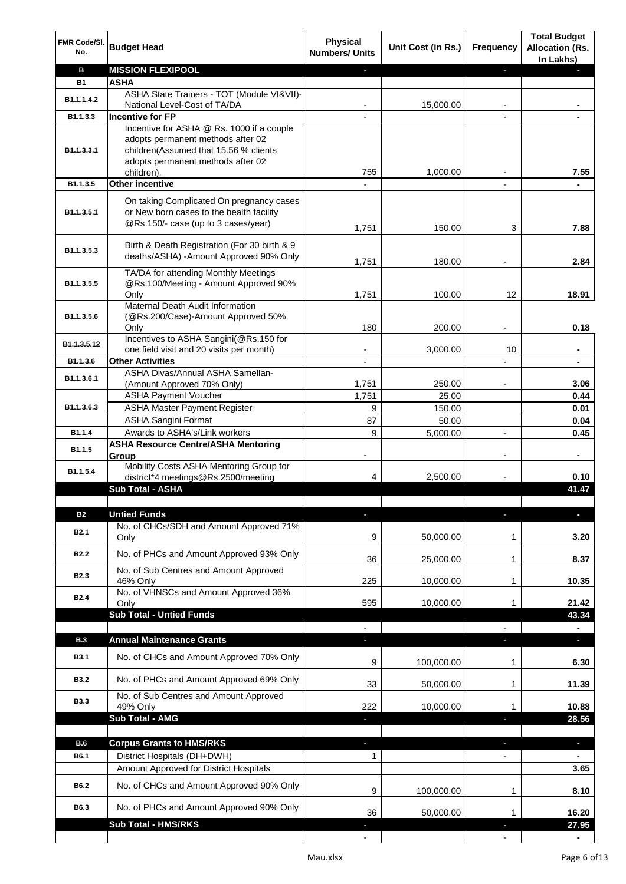| FMR Code/SI.<br>No. | <b>Budget Head</b>                                                                                                          | <b>Physical</b><br><b>Numbers/ Units</b> | Unit Cost (in Rs.) | Frequency                | <b>Total Budget</b><br><b>Allocation (Rs.</b><br>In Lakhs) |
|---------------------|-----------------------------------------------------------------------------------------------------------------------------|------------------------------------------|--------------------|--------------------------|------------------------------------------------------------|
| в                   | <b>MISSION FLEXIPOOL</b>                                                                                                    |                                          |                    | ٠                        |                                                            |
| <b>B1</b>           | ASHA                                                                                                                        |                                          |                    |                          |                                                            |
| B1.1.1.4.2          | ASHA State Trainers - TOT (Module VI&VII)-                                                                                  |                                          |                    |                          |                                                            |
| B1.1.3.3            | National Level-Cost of TA/DA<br><b>Incentive for FP</b>                                                                     |                                          | 15,000.00          |                          |                                                            |
|                     | Incentive for ASHA @ Rs. 1000 if a couple                                                                                   |                                          |                    |                          |                                                            |
| B1.1.3.3.1          | adopts permanent methods after 02<br>children(Assumed that 15.56 % clients<br>adopts permanent methods after 02             | 755                                      | 1,000.00           |                          | 7.55                                                       |
| B1.1.3.5            | children).<br>Other incentive                                                                                               |                                          |                    |                          |                                                            |
|                     |                                                                                                                             |                                          |                    |                          |                                                            |
| B1.1.3.5.1          | On taking Complicated On pregnancy cases<br>or New born cases to the health facility<br>@Rs.150/- case (up to 3 cases/year) | 1,751                                    | 150.00             | 3                        | 7.88                                                       |
| B1.1.3.5.3          | Birth & Death Registration (For 30 birth & 9<br>deaths/ASHA) -Amount Approved 90% Only                                      | 1,751                                    | 180.00             |                          | 2.84                                                       |
| B1.1.3.5.5          | TA/DA for attending Monthly Meetings<br>@Rs.100/Meeting - Amount Approved 90%<br>Only                                       | 1,751                                    | 100.00             | 12                       | 18.91                                                      |
|                     | Maternal Death Audit Information                                                                                            |                                          |                    |                          |                                                            |
| B1.1.3.5.6          | (@Rs.200/Case)-Amount Approved 50%                                                                                          |                                          |                    |                          |                                                            |
|                     | Only                                                                                                                        | 180                                      | 200.00             |                          | 0.18                                                       |
| B1.1.3.5.12         | Incentives to ASHA Sangini(@Rs.150 for                                                                                      |                                          | 3,000.00           | 10                       |                                                            |
| B1.1.3.6            | one field visit and 20 visits per month)<br><b>Other Activities</b>                                                         |                                          |                    |                          |                                                            |
|                     | ASHA Divas/Annual ASHA Samellan-                                                                                            |                                          |                    |                          |                                                            |
| B1.1.3.6.1          | (Amount Approved 70% Only)                                                                                                  | 1,751                                    | 250.00             |                          | 3.06                                                       |
|                     | <b>ASHA Payment Voucher</b>                                                                                                 | 1,751                                    | 25.00              |                          | 0.44                                                       |
| B1.1.3.6.3          | <b>ASHA Master Payment Register</b>                                                                                         | 9                                        | 150.00             |                          | 0.01                                                       |
|                     | <b>ASHA Sangini Format</b>                                                                                                  | 87                                       | 50.00              |                          | 0.04                                                       |
| B1.1.4              | Awards to ASHA's/Link workers                                                                                               | 9                                        | 5,000.00           | $\overline{a}$           | 0.45                                                       |
| B1.1.5              | <b>ASHA Resource Centre/ASHA Mentoring</b><br>Group                                                                         | -                                        |                    | $\overline{\phantom{a}}$ | $\blacksquare$                                             |
| B1.1.5.4            | Mobility Costs ASHA Mentoring Group for<br>district*4 meetings@Rs.2500/meeting                                              | 4                                        | 2,500.00           |                          | 0.10                                                       |
|                     | Sub Total - ASHA                                                                                                            |                                          |                    |                          | 41.47                                                      |
|                     |                                                                                                                             |                                          |                    |                          |                                                            |
| <b>B2</b>           | <b>Untied Funds</b>                                                                                                         |                                          |                    |                          |                                                            |
| <b>B2.1</b>         | No. of CHCs/SDH and Amount Approved 71%<br>Only                                                                             | 9                                        | 50,000.00          | 1                        | 3.20                                                       |
| <b>B2.2</b>         | No. of PHCs and Amount Approved 93% Only                                                                                    | 36                                       | 25,000.00          | 1                        | 8.37                                                       |
| <b>B2.3</b>         | No. of Sub Centres and Amount Approved<br>46% Only                                                                          | 225                                      | 10,000.00          | 1                        | 10.35                                                      |
| B <sub>2.4</sub>    | No. of VHNSCs and Amount Approved 36%                                                                                       |                                          |                    |                          |                                                            |
|                     | Only<br><b>Sub Total - Untied Funds</b>                                                                                     | 595                                      | 10,000.00          |                          | 21.42                                                      |
|                     |                                                                                                                             |                                          |                    |                          | 43.34                                                      |
| <b>B.3</b>          | <b>Annual Maintenance Grants</b>                                                                                            | ÷.                                       |                    |                          | o.                                                         |
| <b>B3.1</b>         | No. of CHCs and Amount Approved 70% Only                                                                                    | 9                                        | 100,000.00         | 1                        | 6.30                                                       |
| <b>B3.2</b>         | No. of PHCs and Amount Approved 69% Only                                                                                    | 33                                       | 50,000.00          | 1                        | 11.39                                                      |
| <b>B3.3</b>         | No. of Sub Centres and Amount Approved                                                                                      |                                          |                    |                          |                                                            |
|                     | 49% Only<br>Sub Total - AMG                                                                                                 | 222                                      | 10,000.00          | 1                        | 10.88<br>28.56                                             |
|                     |                                                                                                                             |                                          |                    |                          |                                                            |
| <b>B.6</b>          | <b>Corpus Grants to HMS/RKS</b>                                                                                             | ٠                                        |                    | J,                       | $\overline{\phantom{a}}$                                   |
| B6.1                | District Hospitals (DH+DWH)                                                                                                 | 1                                        |                    |                          |                                                            |
|                     | Amount Approved for District Hospitals                                                                                      |                                          |                    |                          | 3.65                                                       |
| B6.2                | No. of CHCs and Amount Approved 90% Only                                                                                    | 9                                        | 100,000.00         | $\mathbf 1$              | 8.10                                                       |
| B6.3                | No. of PHCs and Amount Approved 90% Only                                                                                    | 36                                       | 50,000.00          | 1                        | 16.20                                                      |
|                     | <b>Sub Total - HMS/RKS</b>                                                                                                  |                                          |                    |                          | 27.95                                                      |
|                     |                                                                                                                             |                                          |                    |                          |                                                            |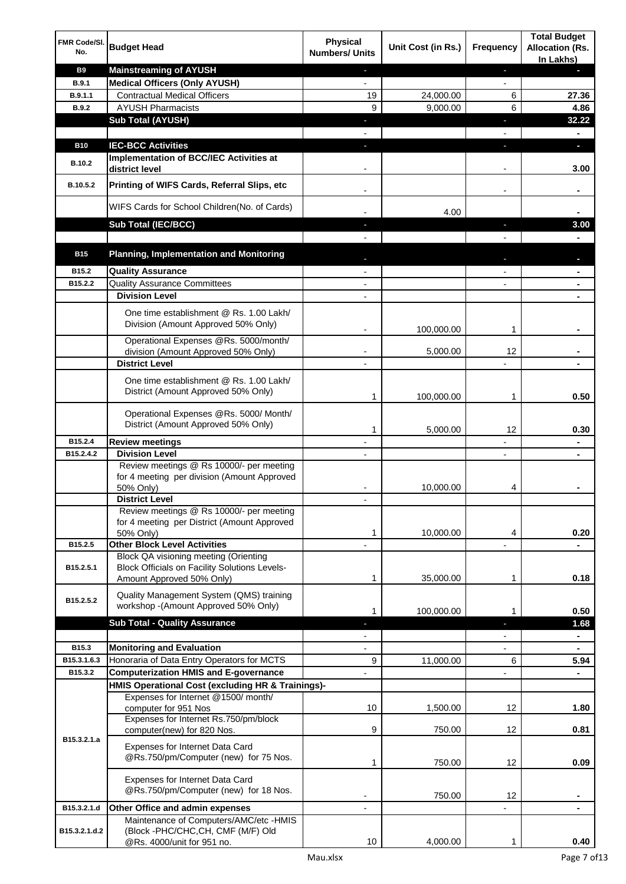| FMR Code/SI.<br>No.          | <b>Budget Head</b>                                                                                                  | <b>Physical</b><br><b>Numbers/ Units</b> | Unit Cost (in Rs.) | Frequency                | <b>Total Budget</b><br><b>Allocation (Rs.</b><br>In Lakhs) |
|------------------------------|---------------------------------------------------------------------------------------------------------------------|------------------------------------------|--------------------|--------------------------|------------------------------------------------------------|
| <b>B9</b>                    | <b>Mainstreaming of AYUSH</b>                                                                                       |                                          |                    | J,                       |                                                            |
| <b>B.9.1</b>                 | <b>Medical Officers (Only AYUSH)</b>                                                                                |                                          |                    | $\overline{\phantom{0}}$ |                                                            |
| B.9.1.1                      | <b>Contractual Medical Officers</b>                                                                                 | 19                                       | 24,000.00          | 6                        | 27.36                                                      |
| <b>B.9.2</b>                 | <b>AYUSH Pharmacists</b>                                                                                            | 9                                        | 9,000.00           | 6                        | 4.86                                                       |
|                              | <b>Sub Total (AYUSH)</b>                                                                                            | J,                                       |                    | J,                       | 32.22                                                      |
|                              |                                                                                                                     |                                          |                    | $\overline{\phantom{a}}$ | $\blacksquare$                                             |
| <b>B10</b>                   | <b>IEC-BCC Activities</b>                                                                                           | a,                                       |                    | J,                       | $\overline{\phantom{a}}$                                   |
| B.10.2                       | Implementation of BCC/IEC Activities at<br>district level                                                           |                                          |                    |                          | 3.00                                                       |
| B.10.5.2                     | Printing of WIFS Cards, Referral Slips, etc                                                                         |                                          |                    | $\overline{\phantom{a}}$ |                                                            |
|                              | WIFS Cards for School Children(No. of Cards)                                                                        |                                          | 4.00               |                          |                                                            |
|                              | <b>Sub Total (IEC/BCC)</b>                                                                                          |                                          |                    | ÷                        | 3.00                                                       |
|                              |                                                                                                                     |                                          |                    |                          |                                                            |
| <b>B15</b>                   | <b>Planning, Implementation and Monitoring</b>                                                                      |                                          |                    |                          |                                                            |
|                              |                                                                                                                     |                                          |                    |                          |                                                            |
| B <sub>15.2</sub><br>B15.2.2 | <b>Quality Assurance</b>                                                                                            |                                          |                    | $\overline{a}$           | $\blacksquare$                                             |
|                              | <b>Quality Assurance Committees</b><br><b>Division Level</b>                                                        | $\blacksquare$                           |                    | $\overline{a}$           | ۰                                                          |
|                              |                                                                                                                     |                                          |                    |                          |                                                            |
|                              | One time establishment @ Rs. 1.00 Lakh/<br>Division (Amount Approved 50% Only)                                      |                                          | 100,000.00         | 1                        |                                                            |
|                              | Operational Expenses @Rs. 5000/month/                                                                               |                                          |                    |                          |                                                            |
|                              | division (Amount Approved 50% Only)                                                                                 |                                          | 5,000.00           | 12                       |                                                            |
|                              | <b>District Level</b>                                                                                               |                                          |                    |                          |                                                            |
|                              | One time establishment @ Rs. 1.00 Lakh/<br>District (Amount Approved 50% Only)                                      | 1                                        | 100,000.00         | 1                        | 0.50                                                       |
|                              |                                                                                                                     |                                          |                    |                          |                                                            |
|                              | Operational Expenses @Rs. 5000/ Month/<br>District (Amount Approved 50% Only)                                       | 1                                        | 5,000.00           | 12                       | 0.30                                                       |
| B15.2.4                      | <b>Review meetings</b>                                                                                              |                                          |                    | $\overline{a}$           |                                                            |
| B15.2.4.2                    | <b>Division Level</b>                                                                                               |                                          |                    | $\overline{a}$           | ÷.                                                         |
|                              | Review meetings @ Rs 10000/- per meeting<br>for 4 meeting per division (Amount Approved                             |                                          | 10,000.00          | 4                        |                                                            |
|                              | 50% Only)<br><b>District Level</b>                                                                                  |                                          |                    |                          |                                                            |
|                              | Review meetings @ Rs 10000/- per meeting                                                                            |                                          |                    |                          |                                                            |
|                              | for 4 meeting per District (Amount Approved<br>50% Only)                                                            | 1                                        | 10,000.00          | 4                        | 0.20                                                       |
| B15.2.5                      | <b>Other Block Level Activities</b>                                                                                 |                                          |                    |                          |                                                            |
| B15.2.5.1                    | Block QA visioning meeting (Orienting<br>Block Officials on Facility Solutions Levels-<br>Amount Approved 50% Only) | 1                                        | 35,000.00          | 1                        | 0.18                                                       |
| B15.2.5.2                    | Quality Management System (QMS) training<br>workshop -(Amount Approved 50% Only)                                    | 1                                        | 100,000.00         | 1                        | 0.50                                                       |
|                              | <b>Sub Total - Quality Assurance</b>                                                                                | L                                        |                    | ٠                        | 1.68                                                       |
|                              |                                                                                                                     |                                          |                    |                          | $\blacksquare$                                             |
| B15.3                        | <b>Monitoring and Evaluation</b>                                                                                    | $\overline{\phantom{a}}$                 |                    | $\overline{\phantom{a}}$ | $\blacksquare$                                             |
| B15.3.1.6.3                  | Honoraria of Data Entry Operators for MCTS                                                                          | 9                                        | 11,000.00          | 6                        | 5.94                                                       |
| B15.3.2                      | <b>Computerization HMIS and E-governance</b>                                                                        |                                          |                    |                          | $\blacksquare$                                             |
|                              | HMIS Operational Cost (excluding HR & Trainings)-                                                                   |                                          |                    |                          |                                                            |
|                              | Expenses for Internet @1500/ month/<br>computer for 951 Nos                                                         | 10                                       | 1,500.00           | 12                       | 1.80                                                       |
|                              | Expenses for Internet Rs.750/pm/block<br>computer(new) for 820 Nos.                                                 | 9                                        | 750.00             | 12                       | 0.81                                                       |
| B15.3.2.1.a                  | Expenses for Internet Data Card<br>@Rs.750/pm/Computer (new) for 75 Nos.                                            | 1                                        | 750.00             | 12                       | 0.09                                                       |
|                              | Expenses for Internet Data Card<br>@Rs.750/pm/Computer (new) for 18 Nos.                                            |                                          | 750.00             | 12                       |                                                            |
| B15.3.2.1.d                  | Other Office and admin expenses                                                                                     |                                          |                    |                          |                                                            |
| B15.3.2.1.d.2                | Maintenance of Computers/AMC/etc -HMIS<br>(Block -PHC/CHC, CH, CMF (M/F) Old                                        |                                          |                    |                          |                                                            |
|                              | @Rs. 4000/unit for 951 no.                                                                                          | 10                                       | 4,000.00           | 1                        | 0.40                                                       |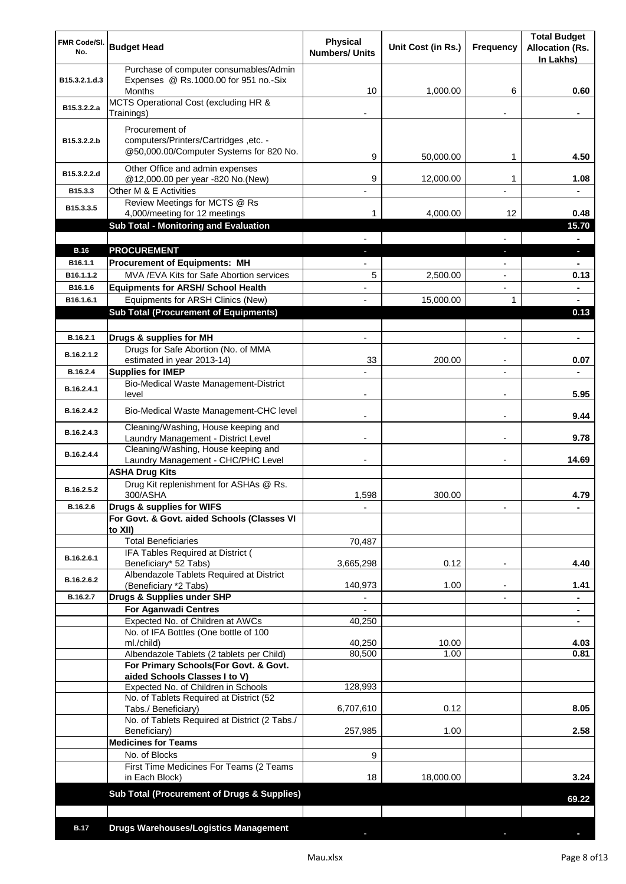| FMR Code/SI.<br>No. | <b>Budget Head</b>                                                                               | <b>Physical</b><br><b>Numbers/ Units</b> | Unit Cost (in Rs.) | Frequency                | <b>Total Budget</b><br><b>Allocation (Rs.</b><br>In Lakhs) |
|---------------------|--------------------------------------------------------------------------------------------------|------------------------------------------|--------------------|--------------------------|------------------------------------------------------------|
| B15.3.2.1.d.3       | Purchase of computer consumables/Admin<br>Expenses @ Rs.1000.00 for 951 no.-Six<br><b>Months</b> | 10                                       | 1.000.00           | 6                        | 0.60                                                       |
| B15.3.2.2.a         | MCTS Operational Cost (excluding HR &<br>Trainings)                                              |                                          |                    |                          |                                                            |
| B15.3.2.2.b         | Procurement of<br>computers/Printers/Cartridges, etc. -                                          |                                          |                    |                          |                                                            |
|                     | @50,000.00/Computer Systems for 820 No.                                                          | 9                                        | 50,000.00          | 1                        | 4.50                                                       |
| B15.3.2.2.d         | Other Office and admin expenses<br>@12,000.00 per year -820 No.(New)                             | 9                                        | 12,000.00          | 1                        | 1.08                                                       |
| B15.3.3             | Other M & E Activities                                                                           |                                          |                    |                          |                                                            |
| B15.3.3.5           | Review Meetings for MCTS @ Rs<br>4,000/meeting for 12 meetings                                   |                                          | 4,000.00           | 12                       | 0.48                                                       |
|                     | <b>Sub Total - Monitoring and Evaluation</b>                                                     |                                          |                    |                          | 15.70                                                      |
| <b>B.16</b>         | <b>PROCUREMENT</b>                                                                               |                                          |                    |                          | н.                                                         |
| B16.1.1             | <b>Procurement of Equipments: MH</b>                                                             |                                          |                    |                          |                                                            |
| B16.1.1.2           | MVA / EVA Kits for Safe Abortion services                                                        | 5                                        | 2,500.00           |                          | 0.13                                                       |
| B16.1.6             | <b>Equipments for ARSH/ School Health</b>                                                        |                                          |                    |                          |                                                            |
| B16.1.6.1           | Equipments for ARSH Clinics (New)                                                                |                                          | 15,000.00          | 1                        |                                                            |
|                     | <b>Sub Total (Procurement of Equipments)</b>                                                     |                                          |                    |                          | 0.13                                                       |
| B.16.2.1            |                                                                                                  |                                          |                    |                          |                                                            |
|                     | Drugs & supplies for MH<br>Drugs for Safe Abortion (No. of MMA                                   |                                          |                    |                          |                                                            |
| B.16.2.1.2          | estimated in year 2013-14)                                                                       | 33                                       | 200.00             |                          | 0.07                                                       |
| B.16.2.4            | <b>Supplies for IMEP</b>                                                                         |                                          |                    |                          |                                                            |
| B.16.2.4.1          | Bio-Medical Waste Management-District<br>level                                                   |                                          |                    |                          | 5.95                                                       |
| B.16.2.4.2          | Bio-Medical Waste Management-CHC level                                                           |                                          |                    |                          | 9.44                                                       |
| B.16.2.4.3          | Cleaning/Washing, House keeping and<br>Laundry Management - District Level                       |                                          |                    |                          | 9.78                                                       |
| B.16.2.4.4          | Cleaning/Washing, House keeping and<br>Laundry Management - CHC/PHC Level                        |                                          |                    |                          | 14.69                                                      |
|                     | <b>ASHA Drug Kits</b>                                                                            |                                          |                    |                          |                                                            |
| B.16.2.5.2          | Drug Kit replenishment for ASHAs @ Rs.<br>300/ASHA                                               | 1,598                                    | 300.00             |                          | 4.79                                                       |
| B.16.2.6            | Drugs & supplies for WIFS                                                                        |                                          |                    |                          |                                                            |
|                     | For Govt. & Govt. aided Schools (Classes VI<br>to XII)                                           |                                          |                    |                          |                                                            |
|                     | <b>Total Beneficiaries</b>                                                                       | 70,487                                   |                    |                          |                                                            |
| B.16.2.6.1          | IFA Tables Required at District (<br>Beneficiary* 52 Tabs)                                       | 3,665,298                                | 0.12               | $\overline{\phantom{a}}$ | 4.40                                                       |
| B.16.2.6.2          | Albendazole Tablets Required at District                                                         |                                          |                    |                          |                                                            |
| B.16.2.7            | (Beneficiary *2 Tabs)<br>Drugs & Supplies under SHP                                              | 140,973                                  | 1.00               | $\overline{\phantom{a}}$ | 1.41                                                       |
|                     | <b>For Aganwadi Centres</b>                                                                      |                                          |                    |                          |                                                            |
|                     | Expected No. of Children at AWCs                                                                 | 40,250                                   |                    |                          |                                                            |
|                     | No. of IFA Bottles (One bottle of 100                                                            |                                          |                    |                          |                                                            |
|                     | ml./child)<br>Albendazole Tablets (2 tablets per Child)                                          | 40,250<br>80,500                         | 10.00<br>1.00      |                          | 4.03<br>0.81                                               |
|                     | For Primary Schools(For Govt. & Govt.                                                            |                                          |                    |                          |                                                            |
|                     | aided Schools Classes I to V)                                                                    |                                          |                    |                          |                                                            |
|                     | Expected No. of Children in Schools                                                              | 128,993                                  |                    |                          |                                                            |
|                     | No. of Tablets Required at District (52<br>Tabs./ Beneficiary)                                   | 6,707,610                                | 0.12               |                          | 8.05                                                       |
|                     | No. of Tablets Required at District (2 Tabs./<br>Beneficiary)                                    | 257,985                                  | 1.00               |                          | 2.58                                                       |
|                     | <b>Medicines for Teams</b>                                                                       |                                          |                    |                          |                                                            |
|                     | No. of Blocks                                                                                    | 9                                        |                    |                          |                                                            |
|                     | First Time Medicines For Teams (2 Teams<br>in Each Block)                                        | 18                                       | 18,000.00          |                          | 3.24                                                       |
|                     | <b>Sub Total (Procurement of Drugs &amp; Supplies)</b>                                           |                                          |                    |                          | 69.22                                                      |
|                     |                                                                                                  |                                          |                    |                          |                                                            |
| <b>B.17</b>         | <b>Drugs Warehouses/Logistics Management</b>                                                     |                                          |                    |                          |                                                            |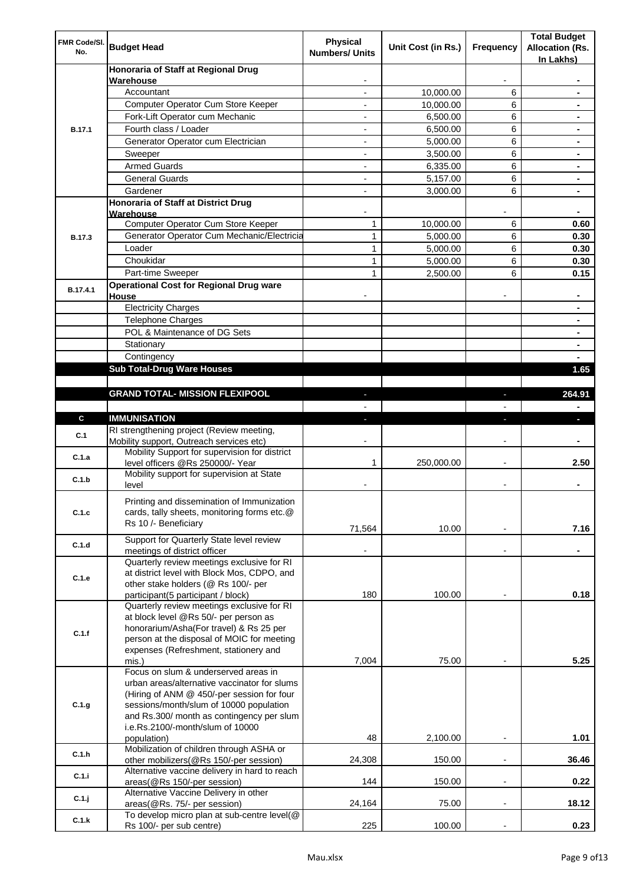| FMR Code/SI.<br>No. | <b>Budget Head</b>                                                                    | Physical<br><b>Numbers/ Units</b> | Unit Cost (in Rs.) | Frequency                | <b>Total Budget</b><br><b>Allocation (Rs.</b><br>In Lakhs) |
|---------------------|---------------------------------------------------------------------------------------|-----------------------------------|--------------------|--------------------------|------------------------------------------------------------|
|                     | Honoraria of Staff at Regional Drug<br>Warehouse                                      |                                   |                    |                          |                                                            |
|                     | Accountant                                                                            |                                   | 10,000.00          | 6                        |                                                            |
|                     | Computer Operator Cum Store Keeper                                                    |                                   | 10,000.00          | 6                        |                                                            |
|                     | Fork-Lift Operator cum Mechanic                                                       |                                   | 6,500.00           | 6                        |                                                            |
| <b>B.17.1</b>       | Fourth class / Loader                                                                 | $\overline{\phantom{0}}$          | 6,500.00           | 6                        |                                                            |
|                     | Generator Operator cum Electrician                                                    |                                   | 5,000.00           | 6                        |                                                            |
|                     | Sweeper                                                                               |                                   | 3,500.00           | 6                        |                                                            |
|                     | <b>Armed Guards</b>                                                                   | ۰                                 | 6,335.00           | 6                        |                                                            |
|                     | <b>General Guards</b>                                                                 | ۰                                 | 5,157.00           | 6                        | $\blacksquare$                                             |
|                     | Gardener                                                                              | $\overline{\phantom{0}}$          | 3,000.00           | 6                        | $\blacksquare$                                             |
|                     | Honoraria of Staff at District Drug<br>Warehouse                                      |                                   |                    |                          |                                                            |
|                     | Computer Operator Cum Store Keeper                                                    | 1                                 | 10,000.00          | 6                        | 0.60                                                       |
| <b>B.17.3</b>       | Generator Operator Cum Mechanic/Electricia                                            | 1                                 | 5,000.00           | 6                        | 0.30                                                       |
|                     | Loader                                                                                | 1                                 | 5,000.00           | 6                        | 0.30                                                       |
|                     | Choukidar                                                                             | 1                                 | 5,000.00           | 6                        | 0.30                                                       |
|                     | Part-time Sweeper                                                                     | $\mathbf{1}$                      | 2,500.00           | 6                        | 0.15                                                       |
|                     | <b>Operational Cost for Regional Drug ware</b>                                        |                                   |                    |                          |                                                            |
| B.17.4.1            | House                                                                                 |                                   |                    |                          |                                                            |
|                     | <b>Electricity Charges</b>                                                            |                                   |                    |                          |                                                            |
|                     | <b>Telephone Charges</b>                                                              |                                   |                    |                          |                                                            |
|                     | POL & Maintenance of DG Sets                                                          |                                   |                    |                          |                                                            |
|                     | Stationary                                                                            |                                   |                    |                          | $\blacksquare$                                             |
|                     | Contingency                                                                           |                                   |                    |                          |                                                            |
|                     | <b>Sub Total-Drug Ware Houses</b>                                                     |                                   |                    |                          | 1.65                                                       |
|                     |                                                                                       |                                   |                    |                          |                                                            |
|                     | <b>GRAND TOTAL- MISSION FLEXIPOOL</b>                                                 |                                   |                    |                          | 264.91                                                     |
|                     |                                                                                       |                                   |                    |                          |                                                            |
| $\mathbf{c}$        | <b>IMMUNISATION</b>                                                                   |                                   |                    |                          |                                                            |
| C.1                 | RI strengthening project (Review meeting,<br>Mobility support, Outreach services etc) |                                   |                    |                          |                                                            |
| C.1.a               | Mobility Support for supervision for district<br>level officers @Rs 250000/- Year     | 1                                 | 250,000.00         |                          | 2.50                                                       |
| C.1.b               | Mobility support for supervision at State<br>level                                    |                                   |                    |                          |                                                            |
|                     | Printing and dissemination of Immunization                                            |                                   |                    |                          |                                                            |
| C.1.c               | cards, tally sheets, monitoring forms etc.@                                           |                                   |                    |                          |                                                            |
|                     | Rs 10 /- Beneficiary                                                                  |                                   |                    |                          |                                                            |
|                     |                                                                                       | 71,564                            | 10.00              |                          | 7.16                                                       |
| C.1.d               | Support for Quarterly State level review<br>meetings of district officer              |                                   |                    |                          |                                                            |
|                     | Quarterly review meetings exclusive for RI                                            |                                   |                    |                          |                                                            |
| C.1.e               | at district level with Block Mos, CDPO, and                                           |                                   |                    |                          |                                                            |
|                     | other stake holders (@ Rs 100/- per                                                   |                                   |                    |                          |                                                            |
|                     | participant(5 participant / block)                                                    | 180                               | 100.00             |                          | 0.18                                                       |
|                     | Quarterly review meetings exclusive for RI                                            |                                   |                    |                          |                                                            |
|                     | at block level @Rs 50/- per person as<br>honorarium/Asha(For travel) & Rs 25 per      |                                   |                    |                          |                                                            |
| C.1.f               | person at the disposal of MOIC for meeting                                            |                                   |                    |                          |                                                            |
|                     | expenses (Refreshment, stationery and                                                 |                                   |                    |                          |                                                            |
|                     | mis.)                                                                                 | 7,004                             | 75.00              |                          | 5.25                                                       |
|                     | Focus on slum & underserved areas in                                                  |                                   |                    |                          |                                                            |
|                     | urban areas/alternative vaccinator for slums                                          |                                   |                    |                          |                                                            |
|                     | (Hiring of ANM @ 450/-per session for four                                            |                                   |                    |                          |                                                            |
| C.1.g               | sessions/month/slum of 10000 population                                               |                                   |                    |                          |                                                            |
|                     | and Rs.300/ month as contingency per slum<br>i.e.Rs.2100/-month/slum of 10000         |                                   |                    |                          |                                                            |
|                     | population)                                                                           | 48                                | 2,100.00           | $\overline{\phantom{a}}$ | 1.01                                                       |
|                     | Mobilization of children through ASHA or                                              |                                   |                    |                          |                                                            |
| C.1.h               | other mobilizers(@Rs 150/-per session)                                                | 24,308                            | 150.00             |                          | 36.46                                                      |
| C.1.i               | Alternative vaccine delivery in hard to reach                                         |                                   |                    |                          |                                                            |
|                     | areas(@Rs 150/-per session)                                                           | 144                               | 150.00             | $\overline{\phantom{a}}$ | 0.22                                                       |
| C.1.j               | Alternative Vaccine Delivery in other                                                 | 24,164                            | 75.00              |                          | 18.12                                                      |
|                     | areas(@Rs. 75/- per session)<br>To develop micro plan at sub-centre level(@           |                                   |                    |                          |                                                            |
| C.1.k               | Rs 100/- per sub centre)                                                              | 225                               | 100.00             | ÷,                       | 0.23                                                       |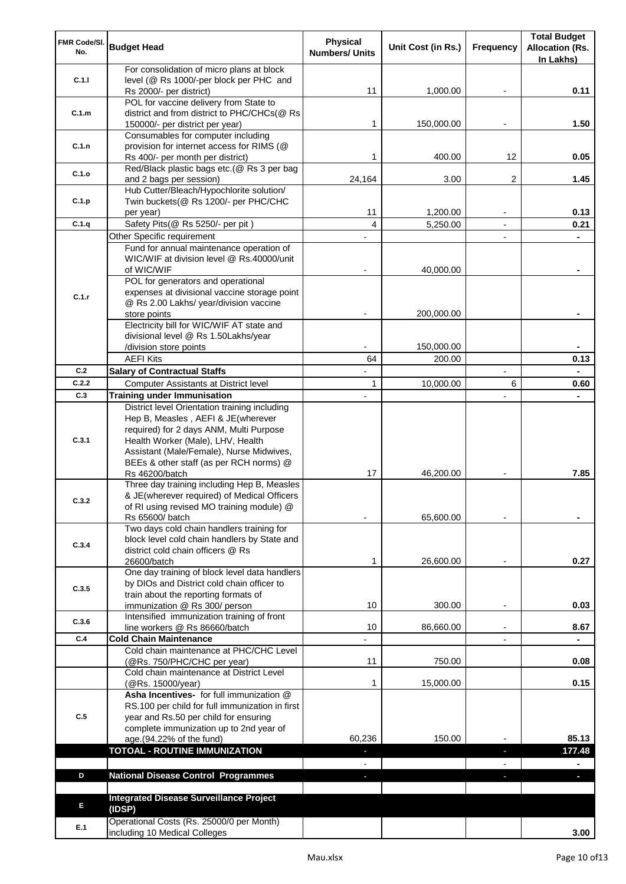| FMR Code/SI.                                                                                                             | <b>Budget Head</b>                                                                | Physical<br><b>Numbers/ Units</b> | Unit Cost (in Rs.)   | Frequency      | <b>Total Budget</b><br><b>Allocation (Rs.</b> |
|--------------------------------------------------------------------------------------------------------------------------|-----------------------------------------------------------------------------------|-----------------------------------|----------------------|----------------|-----------------------------------------------|
|                                                                                                                          |                                                                                   |                                   |                      |                | In Lakhs)                                     |
|                                                                                                                          | For consolidation of micro plans at block                                         |                                   |                      |                |                                               |
|                                                                                                                          | level (@ Rs 1000/-per block per PHC and<br>Rs 2000/- per district)                | 11                                | 1,000.00             |                | 0.11                                          |
|                                                                                                                          | POL for vaccine delivery from State to                                            |                                   |                      |                |                                               |
| C.1.m                                                                                                                    | district and from district to PHC/CHCs(@ Rs                                       |                                   |                      |                |                                               |
|                                                                                                                          | 150000/- per district per year)                                                   | 1                                 | 150,000.00           |                | 1.50                                          |
|                                                                                                                          | Consumables for computer including                                                |                                   |                      |                |                                               |
|                                                                                                                          | provision for internet access for RIMS (@                                         | 1                                 |                      | 12             |                                               |
|                                                                                                                          | Rs 400/- per month per district)<br>Red/Black plastic bags etc.(@ Rs 3 per bag    |                                   | 400.00               |                | 0.05                                          |
| C.1.o                                                                                                                    | and 2 bags per session)                                                           | 24,164                            | 3.00                 | 2              | 1.45                                          |
|                                                                                                                          | Hub Cutter/Bleach/Hypochlorite solution/                                          |                                   |                      |                |                                               |
| C.1.p                                                                                                                    | Twin buckets(@ Rs 1200/- per PHC/CHC                                              |                                   |                      |                |                                               |
|                                                                                                                          | per year)                                                                         | 11                                | 1,200.00             |                | 0.13                                          |
|                                                                                                                          | Safety Pits(@ Rs 5250/- per pit)                                                  | 4                                 | 5,250.00             | $\blacksquare$ | 0.21                                          |
|                                                                                                                          | Other Specific requirement                                                        |                                   |                      |                |                                               |
|                                                                                                                          | Fund for annual maintenance operation of                                          |                                   |                      |                |                                               |
|                                                                                                                          | WIC/WIF at division level @ Rs.40000/unit<br>of WIC/WIF                           |                                   | 40,000.00            |                |                                               |
|                                                                                                                          | POL for generators and operational                                                |                                   |                      |                |                                               |
|                                                                                                                          | expenses at divisional vaccine storage point                                      |                                   |                      |                |                                               |
|                                                                                                                          | @ Rs 2.00 Lakhs/ year/division vaccine                                            |                                   |                      |                |                                               |
|                                                                                                                          | store points                                                                      |                                   | 200,000.00           |                |                                               |
|                                                                                                                          | Electricity bill for WIC/WIF AT state and                                         |                                   |                      |                |                                               |
|                                                                                                                          | divisional level @ Rs 1.50Lakhs/year                                              |                                   |                      |                |                                               |
|                                                                                                                          | /division store points<br><b>AEFI Kits</b>                                        | 64                                | 150,000.00<br>200.00 |                | 0.13                                          |
|                                                                                                                          | <b>Salary of Contractual Staffs</b>                                               |                                   |                      |                |                                               |
|                                                                                                                          | Computer Assistants at District level                                             | 1                                 | 10,000.00            | 6              | 0.60                                          |
|                                                                                                                          | <b>Training under Immunisation</b>                                                |                                   |                      |                |                                               |
|                                                                                                                          | District level Orientation training including                                     |                                   |                      |                |                                               |
|                                                                                                                          | Hep B, Measles, AEFI & JE(wherever                                                |                                   |                      |                |                                               |
|                                                                                                                          | required) for 2 days ANM, Multi Purpose                                           |                                   |                      |                |                                               |
| C.3.1                                                                                                                    | Health Worker (Male), LHV, Health                                                 |                                   |                      |                |                                               |
|                                                                                                                          | Assistant (Male/Female), Nurse Midwives,                                          |                                   |                      |                |                                               |
|                                                                                                                          | BEEs & other staff (as per RCH norms) @                                           | 17                                | 46,200.00            |                | 7.85                                          |
|                                                                                                                          | Rs 46200/batch<br>Three day training including Hep B, Measles                     |                                   |                      |                |                                               |
|                                                                                                                          | & JE(wherever required) of Medical Officers                                       |                                   |                      |                |                                               |
|                                                                                                                          | of RI using revised MO training module) @                                         |                                   |                      |                |                                               |
|                                                                                                                          | Rs 65600/ batch                                                                   |                                   | 65,600.00            |                |                                               |
|                                                                                                                          | Two days cold chain handlers training for                                         |                                   |                      |                |                                               |
| C.3.4                                                                                                                    | block level cold chain handlers by State and<br>district cold chain officers @ Rs |                                   |                      |                |                                               |
|                                                                                                                          | 26600/batch                                                                       | 1                                 | 26,600.00            |                | 0.27                                          |
|                                                                                                                          | One day training of block level data handlers                                     |                                   |                      |                |                                               |
|                                                                                                                          | by DIOs and District cold chain officer to                                        |                                   |                      |                |                                               |
|                                                                                                                          | train about the reporting formats of                                              |                                   |                      |                |                                               |
| No.<br>C.1.1<br>C.1.n<br>C.1.q<br>C.1.r<br>C.2<br>C.2.2<br>C.3<br>C.3.2<br>C.3.5<br>C.3.6<br>C.4<br>C.5<br>D<br>E<br>E.1 | immunization @ Rs 300/ person                                                     | 10                                | 300.00               |                | 0.03                                          |
|                                                                                                                          | Intensified immunization training of front                                        |                                   |                      |                |                                               |
|                                                                                                                          | line workers @ Rs 86660/batch<br><b>Cold Chain Maintenance</b>                    | 10                                | 86,660.00            |                | 8.67                                          |
|                                                                                                                          | Cold chain maintenance at PHC/CHC Level                                           |                                   |                      |                |                                               |
|                                                                                                                          | (@Rs. 750/PHC/CHC per year)                                                       | 11                                | 750.00               |                | 0.08                                          |
|                                                                                                                          | Cold chain maintenance at District Level                                          |                                   |                      |                |                                               |
|                                                                                                                          | (@Rs. 15000/year)                                                                 | 1                                 | 15,000.00            |                | 0.15                                          |
|                                                                                                                          | Asha Incentives- for full immunization @                                          |                                   |                      |                |                                               |
|                                                                                                                          | RS.100 per child for full immunization in first                                   |                                   |                      |                |                                               |
|                                                                                                                          | year and Rs.50 per child for ensuring                                             |                                   |                      |                |                                               |
|                                                                                                                          | complete immunization up to 2nd year of<br>age.(94.22% of the fund)               | 60,236                            | 150.00               |                | 85.13                                         |
|                                                                                                                          | <b>TOTOAL - ROUTINE IMMUNIZATION</b>                                              | ٠                                 |                      | ٠              | 177.48                                        |
|                                                                                                                          |                                                                                   |                                   |                      |                |                                               |
|                                                                                                                          | <b>National Disease Control Programmes</b>                                        | ٠                                 |                      | ÷.             | a,                                            |
|                                                                                                                          |                                                                                   |                                   |                      |                |                                               |
|                                                                                                                          | <b>Integrated Disease Surveillance Project</b>                                    |                                   |                      |                |                                               |
|                                                                                                                          | (IDSP)                                                                            |                                   |                      |                |                                               |
|                                                                                                                          | Operational Costs (Rs. 25000/0 per Month)                                         |                                   |                      |                |                                               |
|                                                                                                                          | including 10 Medical Colleges                                                     |                                   |                      |                | 3.00                                          |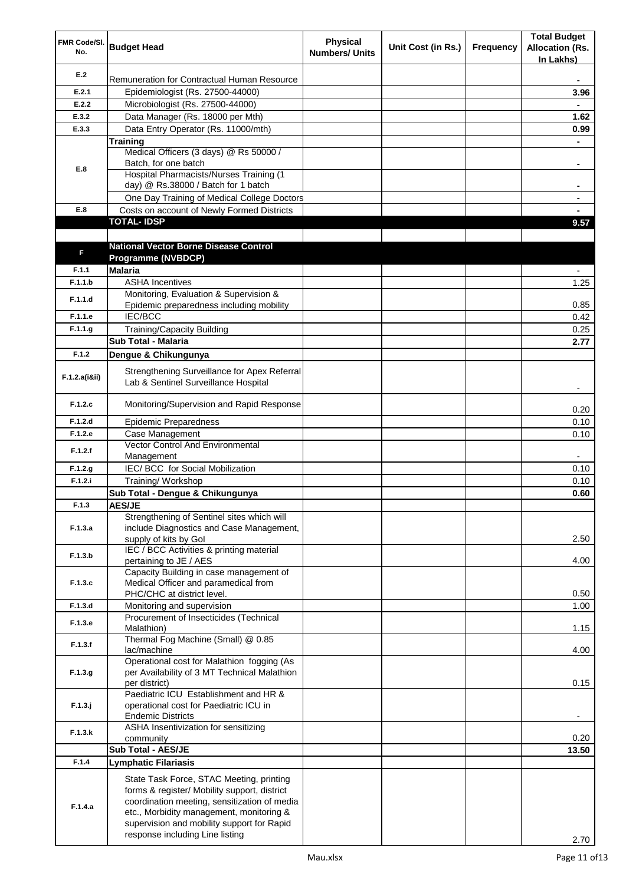| FMR Code/SI.<br>No. | <b>Budget Head</b>                                                                                                                                                                                                                 | <b>Physical</b><br><b>Numbers/ Units</b> | Unit Cost (in Rs.) | Frequency | <b>Total Budget</b><br><b>Allocation (Rs.</b><br>In Lakhs) |
|---------------------|------------------------------------------------------------------------------------------------------------------------------------------------------------------------------------------------------------------------------------|------------------------------------------|--------------------|-----------|------------------------------------------------------------|
| E.2                 | Remuneration for Contractual Human Resource                                                                                                                                                                                        |                                          |                    |           |                                                            |
| E.2.1               | Epidemiologist (Rs. 27500-44000)                                                                                                                                                                                                   |                                          |                    |           | 3.96                                                       |
| E.2.2               | Microbiologist (Rs. 27500-44000)                                                                                                                                                                                                   |                                          |                    |           |                                                            |
| E.3.2               | Data Manager (Rs. 18000 per Mth)                                                                                                                                                                                                   |                                          |                    |           | 1.62                                                       |
| E.3.3               | Data Entry Operator (Rs. 11000/mth)                                                                                                                                                                                                |                                          |                    |           | 0.99                                                       |
|                     | <b>Training</b>                                                                                                                                                                                                                    |                                          |                    |           |                                                            |
|                     | Medical Officers (3 days) @ Rs 50000 /<br>Batch, for one batch                                                                                                                                                                     |                                          |                    |           |                                                            |
| E.8                 | Hospital Pharmacists/Nurses Training (1                                                                                                                                                                                            |                                          |                    |           |                                                            |
|                     | day) @ Rs.38000 / Batch for 1 batch                                                                                                                                                                                                |                                          |                    |           |                                                            |
|                     | One Day Training of Medical College Doctors                                                                                                                                                                                        |                                          |                    |           |                                                            |
| E.8                 | Costs on account of Newly Formed Districts                                                                                                                                                                                         |                                          |                    |           |                                                            |
|                     | <b>TOTAL-IDSP</b>                                                                                                                                                                                                                  |                                          |                    |           | 9.57                                                       |
|                     |                                                                                                                                                                                                                                    |                                          |                    |           |                                                            |
| F                   | <b>National Vector Borne Disease Control</b>                                                                                                                                                                                       |                                          |                    |           |                                                            |
|                     | Programme (NVBDCP)                                                                                                                                                                                                                 |                                          |                    |           |                                                            |
| F.1.1               | <b>Malaria</b>                                                                                                                                                                                                                     |                                          |                    |           |                                                            |
| F.1.1.b             | <b>ASHA Incentives</b>                                                                                                                                                                                                             |                                          |                    |           | 1.25                                                       |
| F.1.1.d             | Monitoring, Evaluation & Supervision &                                                                                                                                                                                             |                                          |                    |           |                                                            |
| F.1.1.e             | Epidemic preparedness including mobility<br>IEC/BCC                                                                                                                                                                                |                                          |                    |           | 0.85                                                       |
|                     |                                                                                                                                                                                                                                    |                                          |                    |           | 0.42                                                       |
| F.1.1.g             | <b>Training/Capacity Building</b><br>Sub Total - Malaria                                                                                                                                                                           |                                          |                    |           | 0.25<br>2.77                                               |
| F.1.2               | Dengue & Chikungunya                                                                                                                                                                                                               |                                          |                    |           |                                                            |
|                     |                                                                                                                                                                                                                                    |                                          |                    |           |                                                            |
| F.1.2.a(iⅈ)         | Strengthening Surveillance for Apex Referral<br>Lab & Sentinel Surveillance Hospital                                                                                                                                               |                                          |                    |           |                                                            |
| F.1.2.c             | Monitoring/Supervision and Rapid Response                                                                                                                                                                                          |                                          |                    |           | 0.20                                                       |
| F.1.2.d             | <b>Epidemic Preparedness</b>                                                                                                                                                                                                       |                                          |                    |           | 0.10                                                       |
| F.1.2.e             | Case Management                                                                                                                                                                                                                    |                                          |                    |           | 0.10                                                       |
| F.1.2.f             | Vector Control And Environmental                                                                                                                                                                                                   |                                          |                    |           |                                                            |
|                     | Management                                                                                                                                                                                                                         |                                          |                    |           |                                                            |
| F.1.2.g             | IEC/ BCC for Social Mobilization                                                                                                                                                                                                   |                                          |                    |           | 0.10                                                       |
| F.1.2.i             | Training/ Workshop                                                                                                                                                                                                                 |                                          |                    |           | 0.10                                                       |
| F.1.3               | Sub Total - Dengue & Chikungunya<br><b>AES/JE</b>                                                                                                                                                                                  |                                          |                    |           | 0.60                                                       |
|                     | Strengthening of Sentinel sites which will                                                                                                                                                                                         |                                          |                    |           |                                                            |
| F.1.3.a             | include Diagnostics and Case Management,<br>supply of kits by Gol                                                                                                                                                                  |                                          |                    |           | 2.50                                                       |
| F.1.3.b             | IEC / BCC Activities & printing material<br>pertaining to JE / AES                                                                                                                                                                 |                                          |                    |           | 4.00                                                       |
|                     | Capacity Building in case management of                                                                                                                                                                                            |                                          |                    |           |                                                            |
| F.1.3.c             | Medical Officer and paramedical from                                                                                                                                                                                               |                                          |                    |           |                                                            |
|                     | PHC/CHC at district level.                                                                                                                                                                                                         |                                          |                    |           | 0.50                                                       |
| F.1.3.d             | Monitoring and supervision                                                                                                                                                                                                         |                                          |                    |           | 1.00                                                       |
| F.1.3.e             | Procurement of Insecticides (Technical<br>Malathion)                                                                                                                                                                               |                                          |                    |           | 1.15                                                       |
| F.1.3.f             | Thermal Fog Machine (Small) @ 0.85<br>lac/machine                                                                                                                                                                                  |                                          |                    |           | 4.00                                                       |
|                     | Operational cost for Malathion fogging (As                                                                                                                                                                                         |                                          |                    |           |                                                            |
| F.1.3.g             | per Availability of 3 MT Technical Malathion<br>per district)                                                                                                                                                                      |                                          |                    |           | 0.15                                                       |
| $F.1.3.$ j          | Paediatric ICU Establishment and HR &<br>operational cost for Paediatric ICU in<br><b>Endemic Districts</b>                                                                                                                        |                                          |                    |           |                                                            |
| F.1.3.k             | ASHA Insentivization for sensitizing<br>community                                                                                                                                                                                  |                                          |                    |           | 0.20                                                       |
|                     | <b>Sub Total - AES/JE</b>                                                                                                                                                                                                          |                                          |                    |           | 13.50                                                      |
| F.1.4               | <b>Lymphatic Filariasis</b>                                                                                                                                                                                                        |                                          |                    |           |                                                            |
|                     |                                                                                                                                                                                                                                    |                                          |                    |           |                                                            |
| F.1.4.a             | State Task Force, STAC Meeting, printing<br>forms & register/ Mobility support, district<br>coordination meeting, sensitization of media<br>etc., Morbidity management, monitoring &<br>supervision and mobility support for Rapid |                                          |                    |           |                                                            |
|                     | response including Line listing                                                                                                                                                                                                    |                                          |                    |           | 2.70                                                       |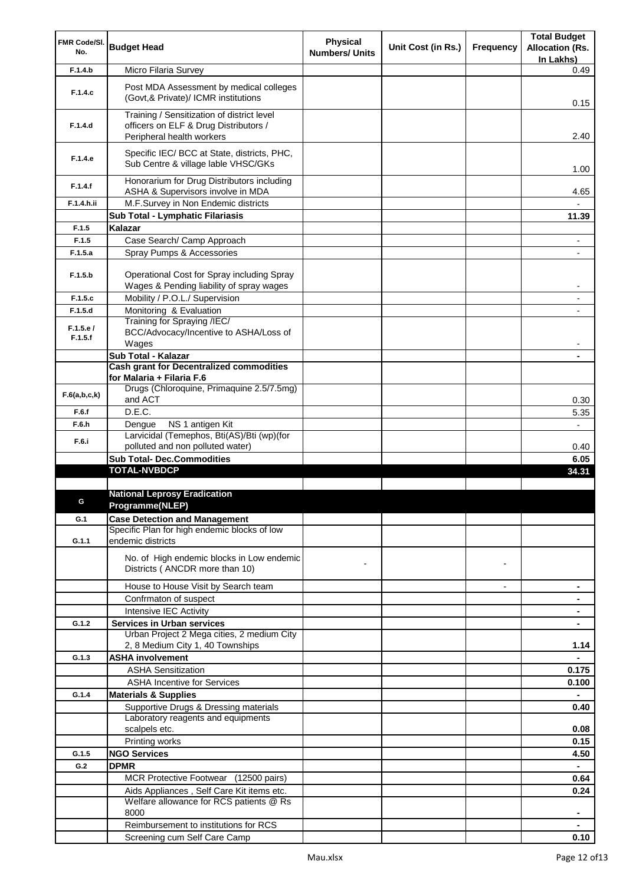| FMR Code/SI.        | <b>Budget Head</b>                                                                     | Physical              | Unit Cost (in Rs.) | Frequency      | <b>Total Budget</b>                 |
|---------------------|----------------------------------------------------------------------------------------|-----------------------|--------------------|----------------|-------------------------------------|
| No.                 |                                                                                        | <b>Numbers/ Units</b> |                    |                | <b>Allocation (Rs.</b><br>In Lakhs) |
| F.1.4.b             | Micro Filaria Survey                                                                   |                       |                    |                | 0.49                                |
|                     | Post MDA Assessment by medical colleges                                                |                       |                    |                |                                     |
| F.1.4.c             | (Govt, & Private)/ ICMR institutions                                                   |                       |                    |                | 0.15                                |
|                     | Training / Sensitization of district level                                             |                       |                    |                |                                     |
| F.1.4.d             | officers on ELF & Drug Distributors /<br>Peripheral health workers                     |                       |                    |                | 2.40                                |
|                     | Specific IEC/ BCC at State, districts, PHC,                                            |                       |                    |                |                                     |
| F.1.4.e             | Sub Centre & village lable VHSC/GKs                                                    |                       |                    |                | 1.00                                |
| F.1.4.f             | Honorarium for Drug Distributors including<br>ASHA & Supervisors involve in MDA        |                       |                    |                | 4.65                                |
| F.1.4.h.ii          | M.F.Survey in Non Endemic districts                                                    |                       |                    |                |                                     |
|                     | Sub Total - Lymphatic Filariasis                                                       |                       |                    |                | 11.39                               |
| F.1.5               | Kalazar                                                                                |                       |                    |                |                                     |
| F.1.5               | Case Search/ Camp Approach                                                             |                       |                    |                | ۰                                   |
| F.1.5.a             | Spray Pumps & Accessories                                                              |                       |                    |                |                                     |
| F.1.5.b             | Operational Cost for Spray including Spray<br>Wages & Pending liability of spray wages |                       |                    |                | -                                   |
| F.1.5.c             | Mobility / P.O.L./ Supervision                                                         |                       |                    |                | ٠                                   |
| F.1.5.d             | Monitoring & Evaluation                                                                |                       |                    |                |                                     |
|                     | Training for Spraying /IEC/                                                            |                       |                    |                |                                     |
| F.1.5.e/<br>F.1.5.f | BCC/Advocacy/Incentive to ASHA/Loss of<br>Wages                                        |                       |                    |                |                                     |
|                     | Sub Total - Kalazar                                                                    |                       |                    |                |                                     |
|                     | <b>Cash grant for Decentralized commodities</b>                                        |                       |                    |                |                                     |
|                     | for Malaria + Filaria F.6                                                              |                       |                    |                |                                     |
| F.6(a,b,c,k)        | Drugs (Chloroquine, Primaquine 2.5/7.5mg)<br>and ACT                                   |                       |                    |                | 0.30                                |
| F.6.f               | D.E.C.                                                                                 |                       |                    |                | 5.35                                |
| F.6.h               | NS 1 antigen Kit<br>Dengue                                                             |                       |                    |                | $\overline{\phantom{0}}$            |
| F.6.i               | Larvicidal (Temephos, Bti(AS)/Bti (wp)(for                                             |                       |                    |                |                                     |
|                     | polluted and non polluted water)                                                       |                       |                    |                | 0.40                                |
|                     | <b>Sub Total- Dec.Commodities</b>                                                      |                       |                    |                | 6.05                                |
|                     | <b>TOTAL-NVBDCP</b>                                                                    |                       |                    |                | 34.31                               |
|                     | <b>National Leprosy Eradication</b>                                                    |                       |                    |                |                                     |
|                     | Programme(NLEP)                                                                        |                       |                    |                |                                     |
| G.1                 | <b>Case Detection and Management</b>                                                   |                       |                    |                |                                     |
|                     | Specific Plan for high endemic blocks of low                                           |                       |                    |                |                                     |
| G.1.1               | endemic districts                                                                      |                       |                    |                |                                     |
|                     | No. of High endemic blocks in Low endemic                                              |                       |                    |                |                                     |
|                     | Districts (ANCDR more than 10)                                                         |                       |                    | $\blacksquare$ |                                     |
|                     | House to House Visit by Search team                                                    |                       |                    | $\overline{a}$ | ۰                                   |
|                     | Confrmaton of suspect                                                                  |                       |                    |                |                                     |
|                     | Intensive IEC Activity                                                                 |                       |                    |                |                                     |
| G.1.2               | <b>Services in Urban services</b>                                                      |                       |                    |                |                                     |
|                     | Urban Project 2 Mega cities, 2 medium City                                             |                       |                    |                |                                     |
|                     | 2, 8 Medium City 1, 40 Townships                                                       |                       |                    |                | 1.14                                |
| G.1.3               | <b>ASHA involvement</b>                                                                |                       |                    |                | $\blacksquare$                      |
|                     | <b>ASHA Sensitization</b>                                                              |                       |                    |                | 0.175                               |
|                     | <b>ASHA Incentive for Services</b>                                                     |                       |                    |                | 0.100                               |
| G.1.4               | <b>Materials &amp; Supplies</b>                                                        |                       |                    |                | ۰                                   |
|                     | Supportive Drugs & Dressing materials<br>Laboratory reagents and equipments            |                       |                    |                | 0.40                                |
|                     | scalpels etc.                                                                          |                       |                    |                | 0.08                                |
|                     | Printing works                                                                         |                       |                    |                | 0.15                                |
| G.1.5               | <b>NGO Services</b>                                                                    |                       |                    |                | 4.50                                |
| G.2                 | <b>DPMR</b>                                                                            |                       |                    |                |                                     |
|                     | MCR Protective Footwear (12500 pairs)                                                  |                       |                    |                | 0.64                                |
|                     | Aids Appliances, Self Care Kit items etc.                                              |                       |                    |                | 0.24                                |
|                     | Welfare allowance for RCS patients @ Rs                                                |                       |                    |                |                                     |
|                     | 8000                                                                                   |                       |                    |                | ٠                                   |
|                     | Reimbursement to institutions for RCS                                                  |                       |                    |                |                                     |
|                     | Screening cum Self Care Camp                                                           |                       |                    |                | 0.10                                |